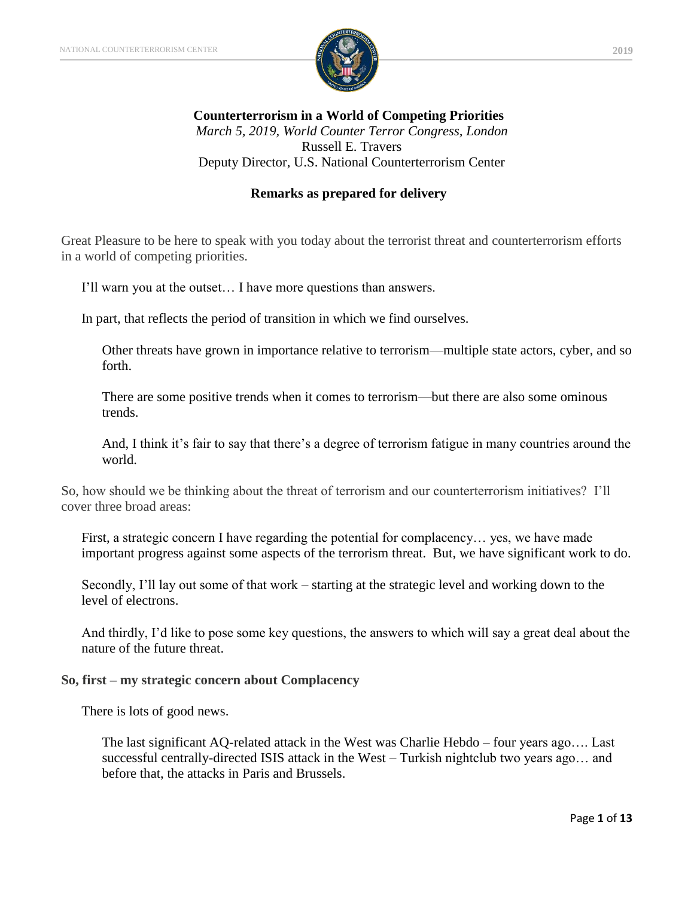

**Counterterrorism in a World of Competing Priorities** *March 5, 2019, World Counter Terror Congress, London* Russell E. Travers Deputy Director, U.S. National Counterterrorism Center

### **Remarks as prepared for delivery**

Great Pleasure to be here to speak with you today about the terrorist threat and counterterrorism efforts in a world of competing priorities.

I'll warn you at the outset… I have more questions than answers.

In part, that reflects the period of transition in which we find ourselves.

Other threats have grown in importance relative to terrorism—multiple state actors, cyber, and so forth.

There are some positive trends when it comes to terrorism—but there are also some ominous trends.

And, I think it's fair to say that there's a degree of terrorism fatigue in many countries around the world.

So, how should we be thinking about the threat of terrorism and our counterterrorism initiatives? I'll cover three broad areas:

First, a strategic concern I have regarding the potential for complacency… yes, we have made important progress against some aspects of the terrorism threat. But, we have significant work to do.

Secondly, I'll lay out some of that work – starting at the strategic level and working down to the level of electrons.

And thirdly, I'd like to pose some key questions, the answers to which will say a great deal about the nature of the future threat.

#### **So, first – my strategic concern about Complacency**

There is lots of good news.

The last significant AQ-related attack in the West was Charlie Hebdo – four years ago…. Last successful centrally-directed ISIS attack in the West – Turkish nightclub two years ago… and before that, the attacks in Paris and Brussels.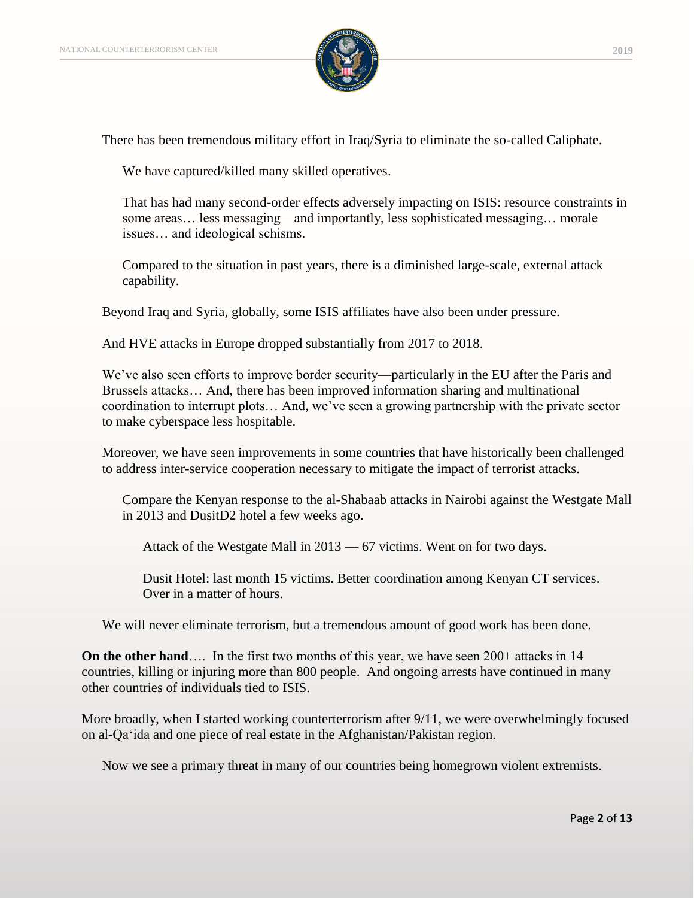

There has been tremendous military effort in Iraq/Syria to eliminate the so-called Caliphate.

We have captured/killed many skilled operatives.

That has had many second-order effects adversely impacting on ISIS: resource constraints in some areas… less messaging—and importantly, less sophisticated messaging… morale issues… and ideological schisms.

Compared to the situation in past years, there is a diminished large-scale, external attack capability.

Beyond Iraq and Syria, globally, some ISIS affiliates have also been under pressure.

And HVE attacks in Europe dropped substantially from 2017 to 2018.

We've also seen efforts to improve border security—particularly in the EU after the Paris and Brussels attacks… And, there has been improved information sharing and multinational coordination to interrupt plots… And, we've seen a growing partnership with the private sector to make cyberspace less hospitable.

Moreover, we have seen improvements in some countries that have historically been challenged to address inter-service cooperation necessary to mitigate the impact of terrorist attacks.

Compare the Kenyan response to the al-Shabaab attacks in Nairobi against the Westgate Mall in 2013 and DusitD2 hotel a few weeks ago.

Attack of the Westgate Mall in 2013 — 67 victims. Went on for two days.

Dusit Hotel: last month 15 victims. Better coordination among Kenyan CT services. Over in a matter of hours.

We will never eliminate terrorism, but a tremendous amount of good work has been done.

**On the other hand**…. In the first two months of this year, we have seen 200+ attacks in 14 countries, killing or injuring more than 800 people. And ongoing arrests have continued in many other countries of individuals tied to ISIS.

More broadly, when I started working counterterrorism after 9/11, we were overwhelmingly focused on al-Qa'ida and one piece of real estate in the Afghanistan/Pakistan region.

Now we see a primary threat in many of our countries being homegrown violent extremists.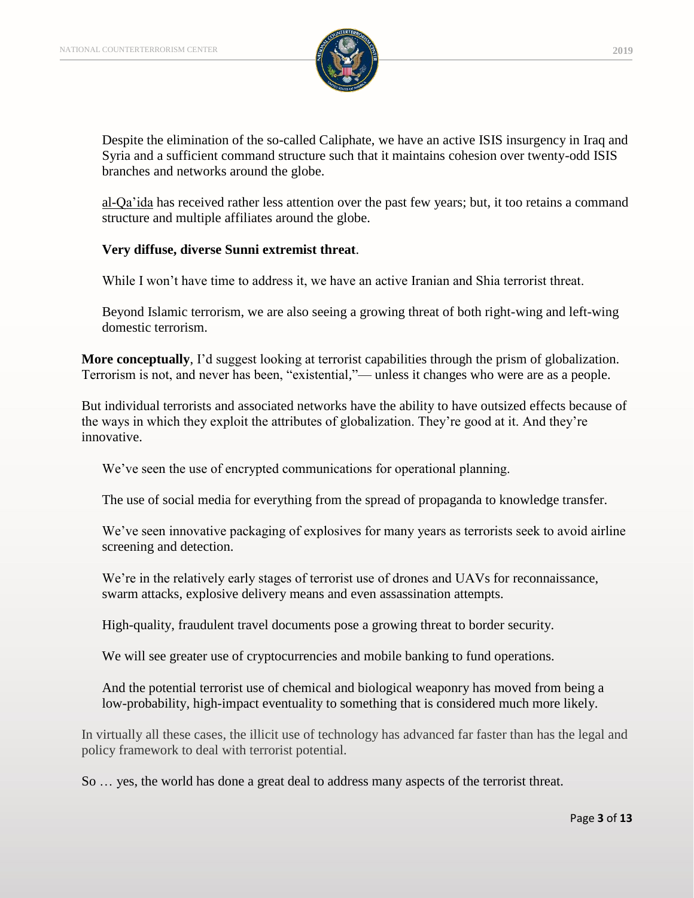

Despite the elimination of the so-called Caliphate, we have an active ISIS insurgency in Iraq and Syria and a sufficient command structure such that it maintains cohesion over twenty-odd ISIS branches and networks around the globe.

al-Qa'ida has received rather less attention over the past few years; but, it too retains a command structure and multiple affiliates around the globe.

### **Very diffuse, diverse Sunni extremist threat**.

While I won't have time to address it, we have an active Iranian and Shia terrorist threat.

Beyond Islamic terrorism, we are also seeing a growing threat of both right-wing and left-wing domestic terrorism.

**More conceptually**, I'd suggest looking at terrorist capabilities through the prism of globalization. Terrorism is not, and never has been, "existential,"— unless it changes who were are as a people.

But individual terrorists and associated networks have the ability to have outsized effects because of the ways in which they exploit the attributes of globalization. They're good at it. And they're innovative.

We've seen the use of encrypted communications for operational planning.

The use of social media for everything from the spread of propaganda to knowledge transfer.

We've seen innovative packaging of explosives for many years as terrorists seek to avoid airline screening and detection.

We're in the relatively early stages of terrorist use of drones and UAVs for reconnaissance, swarm attacks, explosive delivery means and even assassination attempts.

High-quality, fraudulent travel documents pose a growing threat to border security.

We will see greater use of cryptocurrencies and mobile banking to fund operations.

And the potential terrorist use of chemical and biological weaponry has moved from being a low-probability, high-impact eventuality to something that is considered much more likely.

In virtually all these cases, the illicit use of technology has advanced far faster than has the legal and policy framework to deal with terrorist potential.

So … yes, the world has done a great deal to address many aspects of the terrorist threat.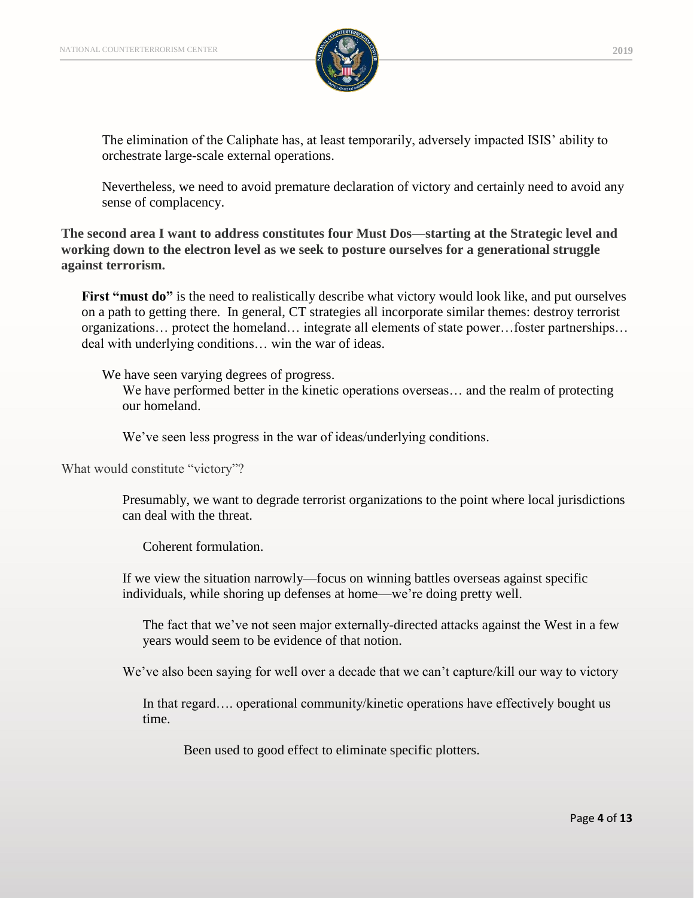

The elimination of the Caliphate has, at least temporarily, adversely impacted ISIS' ability to orchestrate large-scale external operations.

Nevertheless, we need to avoid premature declaration of victory and certainly need to avoid any sense of complacency.

**The second area I want to address constitutes four Must Dos**—**starting at the Strategic level and working down to the electron level as we seek to posture ourselves for a generational struggle against terrorism.**

**First "must do"** is the need to realistically describe what victory would look like, and put ourselves on a path to getting there. In general, CT strategies all incorporate similar themes: destroy terrorist organizations… protect the homeland… integrate all elements of state power…foster partnerships… deal with underlying conditions… win the war of ideas.

We have seen varying degrees of progress.

We have performed better in the kinetic operations overseas… and the realm of protecting our homeland.

We've seen less progress in the war of ideas/underlying conditions.

What would constitute "victory"?

Presumably, we want to degrade terrorist organizations to the point where local jurisdictions can deal with the threat.

Coherent formulation.

If we view the situation narrowly—focus on winning battles overseas against specific individuals, while shoring up defenses at home—we're doing pretty well.

The fact that we've not seen major externally-directed attacks against the West in a few years would seem to be evidence of that notion.

We've also been saying for well over a decade that we can't capture/kill our way to victory

In that regard…. operational community/kinetic operations have effectively bought us time.

Been used to good effect to eliminate specific plotters.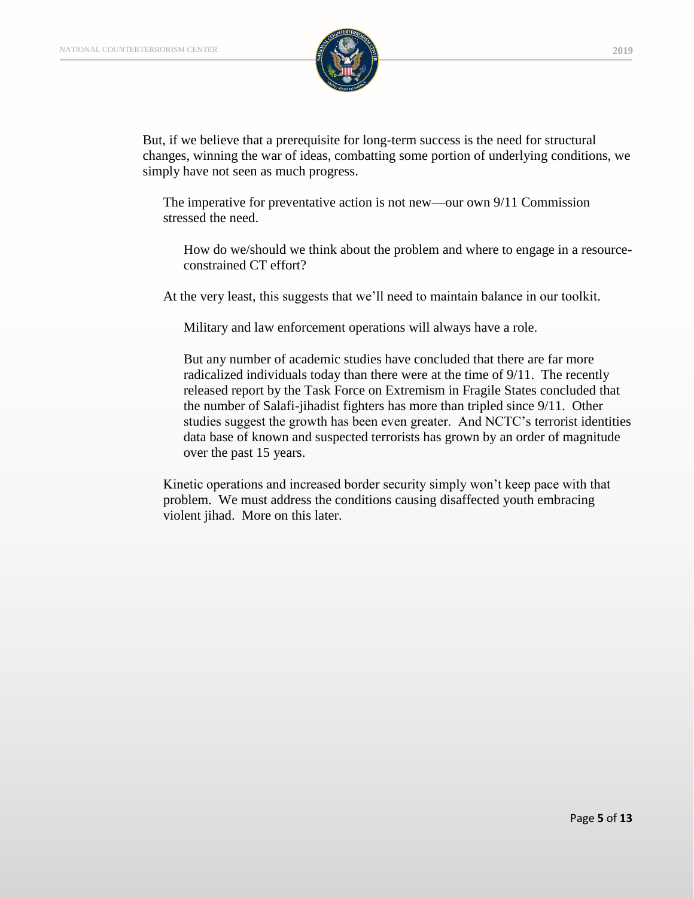

But, if we believe that a prerequisite for long-term success is the need for structural changes, winning the war of ideas, combatting some portion of underlying conditions, we simply have not seen as much progress.

The imperative for preventative action is not new—our own 9/11 Commission stressed the need.

How do we/should we think about the problem and where to engage in a resourceconstrained CT effort?

At the very least, this suggests that we'll need to maintain balance in our toolkit.

Military and law enforcement operations will always have a role.

But any number of academic studies have concluded that there are far more radicalized individuals today than there were at the time of 9/11. The recently released report by the Task Force on Extremism in Fragile States concluded that the number of Salafi-jihadist fighters has more than tripled since 9/11. Other studies suggest the growth has been even greater. And NCTC's terrorist identities data base of known and suspected terrorists has grown by an order of magnitude over the past 15 years.

Kinetic operations and increased border security simply won't keep pace with that problem. We must address the conditions causing disaffected youth embracing violent jihad. More on this later.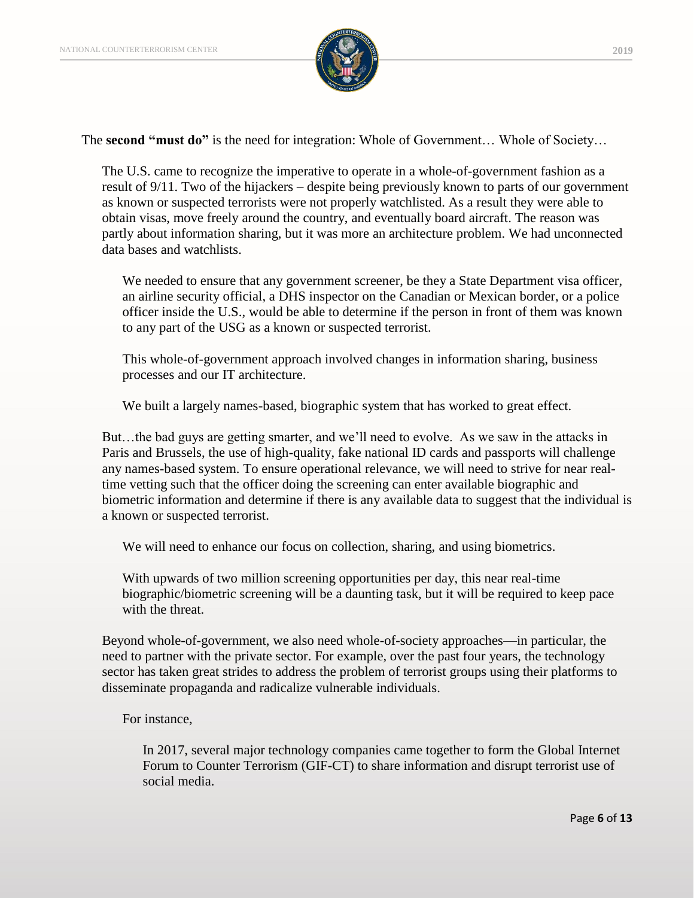

The **second "must do"** is the need for integration: Whole of Government… Whole of Society…

The U.S. came to recognize the imperative to operate in a whole-of-government fashion as a result of 9/11. Two of the hijackers – despite being previously known to parts of our government as known or suspected terrorists were not properly watchlisted. As a result they were able to obtain visas, move freely around the country, and eventually board aircraft. The reason was partly about information sharing, but it was more an architecture problem. We had unconnected data bases and watchlists.

We needed to ensure that any government screener, be they a State Department visa officer, an airline security official, a DHS inspector on the Canadian or Mexican border, or a police officer inside the U.S., would be able to determine if the person in front of them was known to any part of the USG as a known or suspected terrorist.

This whole-of-government approach involved changes in information sharing, business processes and our IT architecture.

We built a largely names-based, biographic system that has worked to great effect.

But…the bad guys are getting smarter, and we'll need to evolve. As we saw in the attacks in Paris and Brussels, the use of high-quality, fake national ID cards and passports will challenge any names-based system. To ensure operational relevance, we will need to strive for near realtime vetting such that the officer doing the screening can enter available biographic and biometric information and determine if there is any available data to suggest that the individual is a known or suspected terrorist.

We will need to enhance our focus on collection, sharing, and using biometrics.

With upwards of two million screening opportunities per day, this near real-time biographic/biometric screening will be a daunting task, but it will be required to keep pace with the threat.

Beyond whole-of-government, we also need whole-of-society approaches—in particular, the need to partner with the private sector. For example, over the past four years, the technology sector has taken great strides to address the problem of terrorist groups using their platforms to disseminate propaganda and radicalize vulnerable individuals.

For instance,

In 2017, several major technology companies came together to form the Global Internet Forum to Counter Terrorism (GIF-CT) to share information and disrupt terrorist use of social media.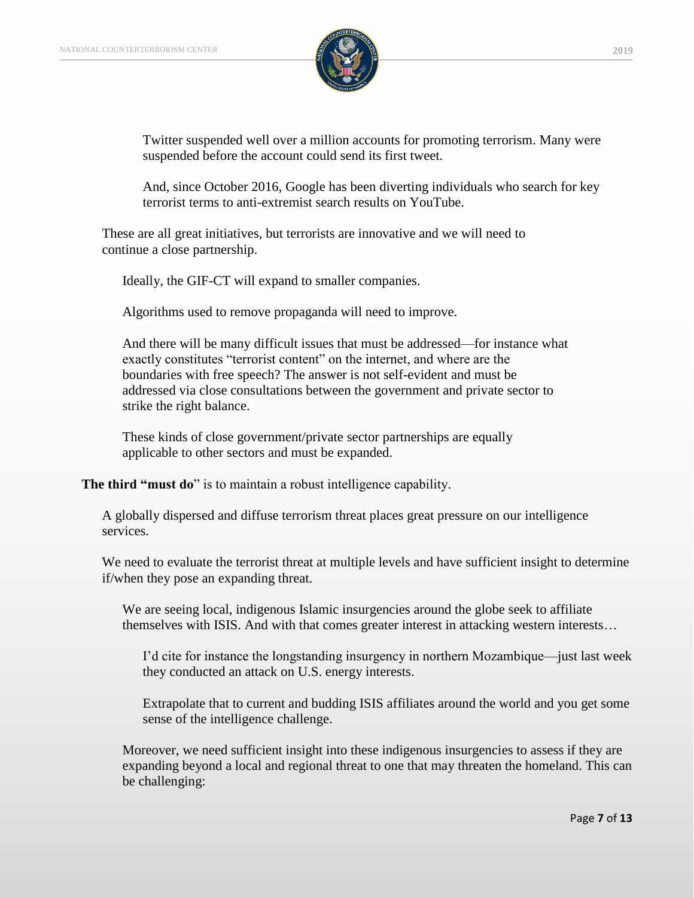

Twitter suspended well over a million accounts for promoting terrorism. Many were suspended before the account could send its first tweet.

And, since October 2016, Google has been diverting individuals who search for key terrorist terms to anti-extremist search results on YouTube.

These are all great initiatives, but terrorists are innovative and we will need to continue a close partnership.

Ideally, the GIF-CT will expand to smaller companies.

Algorithms used to remove propaganda will need to improve.

And there will be many difficult issues that must be addressed—for instance what exactly constitutes "terrorist content" on the internet, and where are the boundaries with free speech? The answer is not self-evident and must be addressed via close consultations between the government and private sector to strike the right balance.

These kinds of close government/private sector partnerships are equally applicable to other sectors and must be expanded.

**The third "must do**" is to maintain a robust intelligence capability.

A globally dispersed and diffuse terrorism threat places great pressure on our intelligence services.

We need to evaluate the terrorist threat at multiple levels and have sufficient insight to determine if/when they pose an expanding threat.

We are seeing local, indigenous Islamic insurgencies around the globe seek to affiliate themselves with ISIS. And with that comes greater interest in attacking western interests…

I'd cite for instance the longstanding insurgency in northern Mozambique—just last week they conducted an attack on U.S. energy interests.

Extrapolate that to current and budding ISIS affiliates around the world and you get some sense of the intelligence challenge.

Moreover, we need sufficient insight into these indigenous insurgencies to assess if they are expanding beyond a local and regional threat to one that may threaten the homeland. This can be challenging: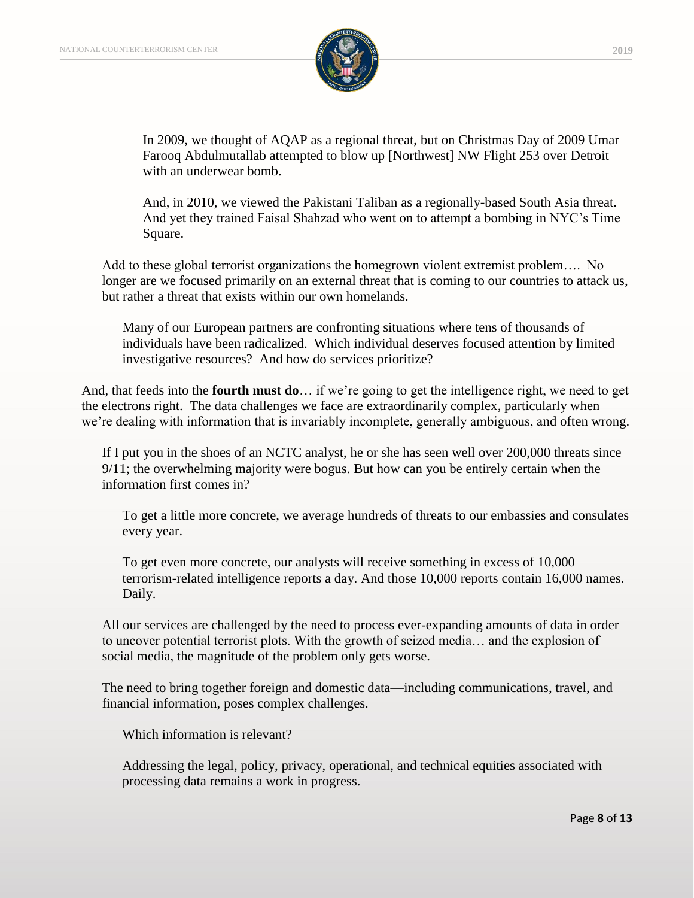

In 2009, we thought of AQAP as a regional threat, but on Christmas Day of 2009 Umar Farooq Abdulmutallab attempted to blow up [Northwest] NW Flight 253 over Detroit with an underwear bomb.

And, in 2010, we viewed the Pakistani Taliban as a regionally-based South Asia threat. And yet they trained Faisal Shahzad who went on to attempt a bombing in NYC's Time Square.

Add to these global terrorist organizations the homegrown violent extremist problem…. No longer are we focused primarily on an external threat that is coming to our countries to attack us, but rather a threat that exists within our own homelands.

Many of our European partners are confronting situations where tens of thousands of individuals have been radicalized. Which individual deserves focused attention by limited investigative resources? And how do services prioritize?

And, that feeds into the **fourth must do**… if we're going to get the intelligence right, we need to get the electrons right. The data challenges we face are extraordinarily complex, particularly when we're dealing with information that is invariably incomplete, generally ambiguous, and often wrong.

If I put you in the shoes of an NCTC analyst, he or she has seen well over 200,000 threats since 9/11; the overwhelming majority were bogus. But how can you be entirely certain when the information first comes in?

To get a little more concrete, we average hundreds of threats to our embassies and consulates every year.

To get even more concrete, our analysts will receive something in excess of 10,000 terrorism-related intelligence reports a day. And those 10,000 reports contain 16,000 names. Daily.

All our services are challenged by the need to process ever-expanding amounts of data in order to uncover potential terrorist plots. With the growth of seized media… and the explosion of social media, the magnitude of the problem only gets worse.

The need to bring together foreign and domestic data—including communications, travel, and financial information, poses complex challenges.

Which information is relevant?

Addressing the legal, policy, privacy, operational, and technical equities associated with processing data remains a work in progress.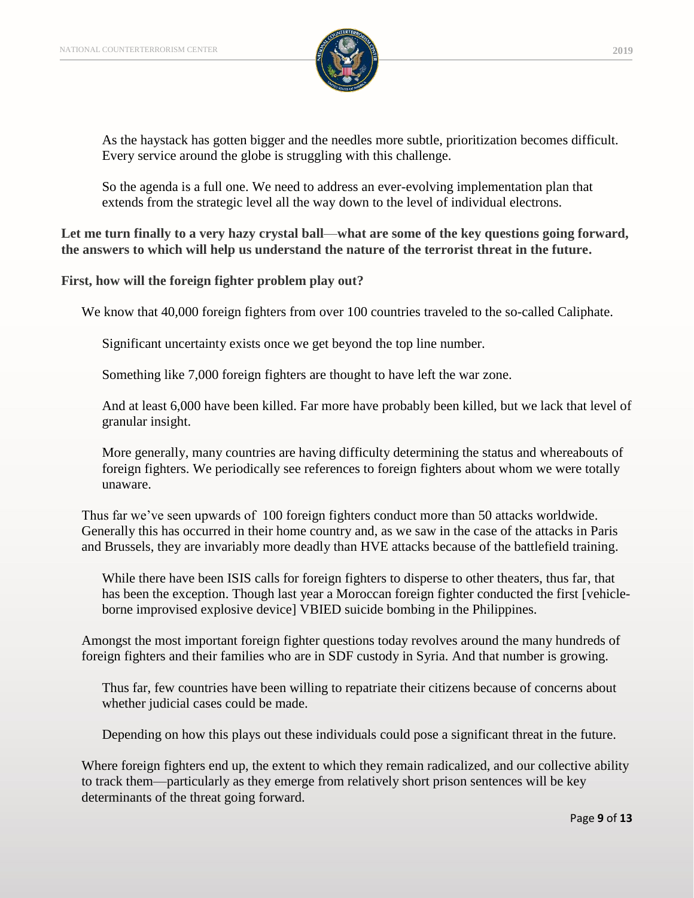

As the haystack has gotten bigger and the needles more subtle, prioritization becomes difficult. Every service around the globe is struggling with this challenge.

So the agenda is a full one. We need to address an ever-evolving implementation plan that extends from the strategic level all the way down to the level of individual electrons.

**Let me turn finally to a very hazy crystal ball**—**what are some of the key questions going forward, the answers to which will help us understand the nature of the terrorist threat in the future.**

**First, how will the foreign fighter problem play out?**

We know that 40,000 foreign fighters from over 100 countries traveled to the so-called Caliphate.

Significant uncertainty exists once we get beyond the top line number.

Something like 7,000 foreign fighters are thought to have left the war zone.

And at least 6,000 have been killed. Far more have probably been killed, but we lack that level of granular insight.

More generally, many countries are having difficulty determining the status and whereabouts of foreign fighters. We periodically see references to foreign fighters about whom we were totally unaware.

Thus far we've seen upwards of 100 foreign fighters conduct more than 50 attacks worldwide. Generally this has occurred in their home country and, as we saw in the case of the attacks in Paris and Brussels, they are invariably more deadly than HVE attacks because of the battlefield training.

While there have been ISIS calls for foreign fighters to disperse to other theaters, thus far, that has been the exception. Though last year a Moroccan foreign fighter conducted the first [vehicleborne improvised explosive device] VBIED suicide bombing in the Philippines.

Amongst the most important foreign fighter questions today revolves around the many hundreds of foreign fighters and their families who are in SDF custody in Syria. And that number is growing.

Thus far, few countries have been willing to repatriate their citizens because of concerns about whether judicial cases could be made.

Depending on how this plays out these individuals could pose a significant threat in the future.

Where foreign fighters end up, the extent to which they remain radicalized, and our collective ability to track them—particularly as they emerge from relatively short prison sentences will be key determinants of the threat going forward.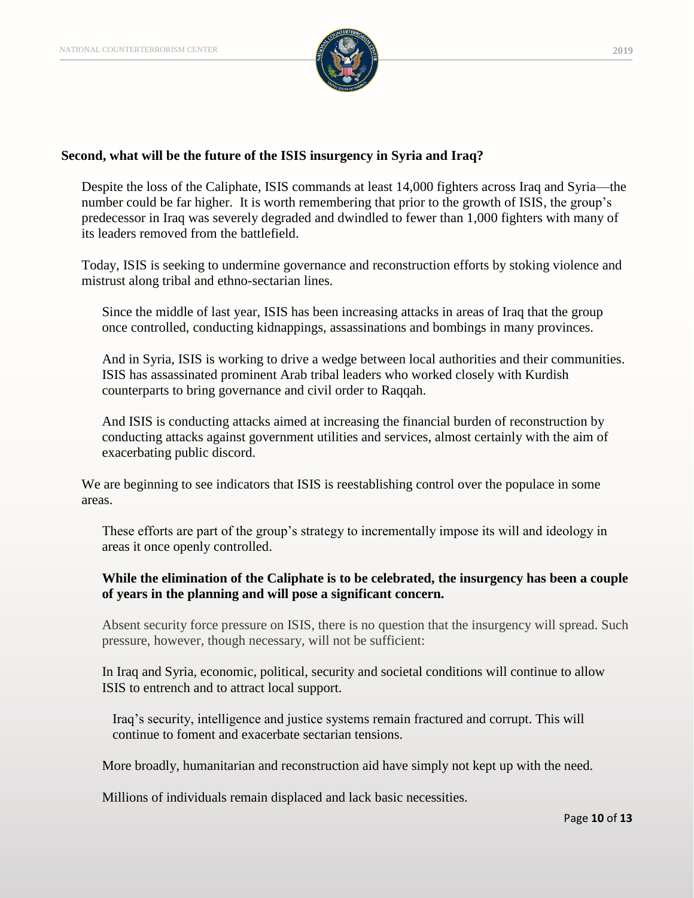

#### **Second, what will be the future of the ISIS insurgency in Syria and Iraq?**

Despite the loss of the Caliphate, ISIS commands at least 14,000 fighters across Iraq and Syria—the number could be far higher. It is worth remembering that prior to the growth of ISIS, the group's predecessor in Iraq was severely degraded and dwindled to fewer than 1,000 fighters with many of its leaders removed from the battlefield.

Today, ISIS is seeking to undermine governance and reconstruction efforts by stoking violence and mistrust along tribal and ethno-sectarian lines.

Since the middle of last year, ISIS has been increasing attacks in areas of Iraq that the group once controlled, conducting kidnappings, assassinations and bombings in many provinces.

And in Syria, ISIS is working to drive a wedge between local authorities and their communities. ISIS has assassinated prominent Arab tribal leaders who worked closely with Kurdish counterparts to bring governance and civil order to Raqqah.

And ISIS is conducting attacks aimed at increasing the financial burden of reconstruction by conducting attacks against government utilities and services, almost certainly with the aim of exacerbating public discord.

We are beginning to see indicators that ISIS is reestablishing control over the populace in some areas.

These efforts are part of the group's strategy to incrementally impose its will and ideology in areas it once openly controlled.

### **While the elimination of the Caliphate is to be celebrated, the insurgency has been a couple of years in the planning and will pose a significant concern.**

Absent security force pressure on ISIS, there is no question that the insurgency will spread. Such pressure, however, though necessary, will not be sufficient:

In Iraq and Syria, economic, political, security and societal conditions will continue to allow ISIS to entrench and to attract local support.

Iraq's security, intelligence and justice systems remain fractured and corrupt. This will continue to foment and exacerbate sectarian tensions.

More broadly, humanitarian and reconstruction aid have simply not kept up with the need.

Millions of individuals remain displaced and lack basic necessities.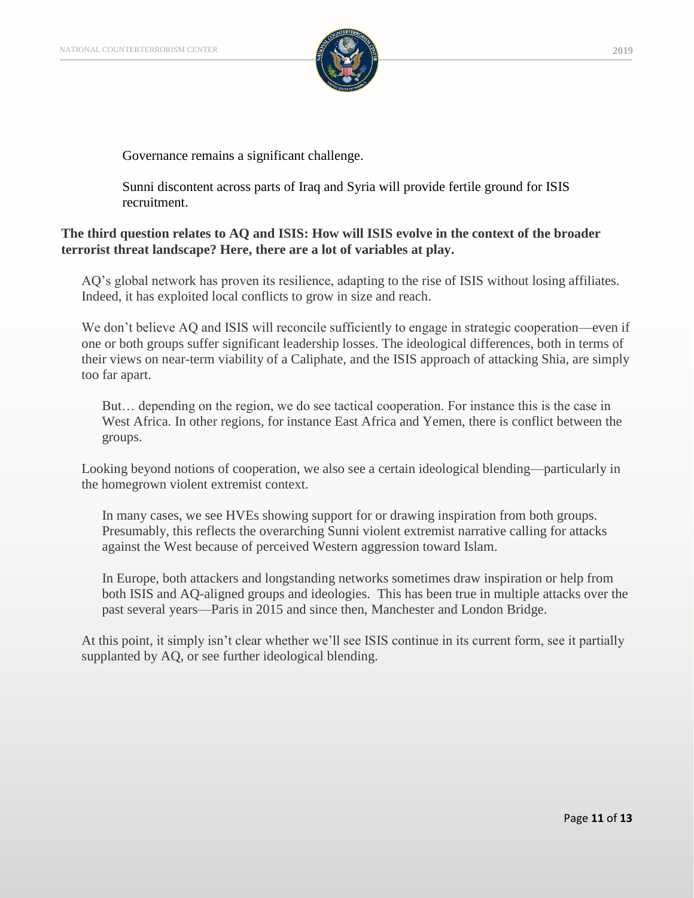

Governance remains a significant challenge.

Sunni discontent across parts of Iraq and Syria will provide fertile ground for ISIS recruitment.

## **The third question relates to AQ and ISIS: How will ISIS evolve in the context of the broader terrorist threat landscape? Here, there are a lot of variables at play.**

AQ's global network has proven its resilience, adapting to the rise of ISIS without losing affiliates. Indeed, it has exploited local conflicts to grow in size and reach.

We don't believe AQ and ISIS will reconcile sufficiently to engage in strategic cooperation—even if one or both groups suffer significant leadership losses. The ideological differences, both in terms of their views on near-term viability of a Caliphate, and the ISIS approach of attacking Shia, are simply too far apart.

But… depending on the region, we do see tactical cooperation. For instance this is the case in West Africa. In other regions, for instance East Africa and Yemen, there is conflict between the groups.

Looking beyond notions of cooperation, we also see a certain ideological blending—particularly in the homegrown violent extremist context.

In many cases, we see HVEs showing support for or drawing inspiration from both groups. Presumably, this reflects the overarching Sunni violent extremist narrative calling for attacks against the West because of perceived Western aggression toward Islam.

In Europe, both attackers and longstanding networks sometimes draw inspiration or help from both ISIS and AQ-aligned groups and ideologies. This has been true in multiple attacks over the past several years—Paris in 2015 and since then, Manchester and London Bridge.

At this point, it simply isn't clear whether we'll see ISIS continue in its current form, see it partially supplanted by AQ, or see further ideological blending.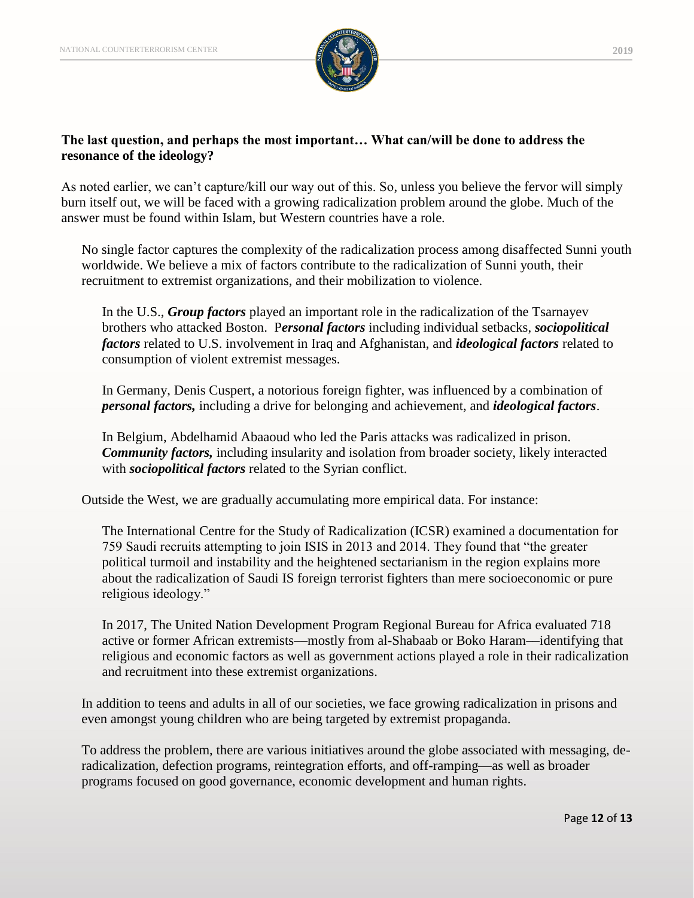

# **The last question, and perhaps the most important… What can/will be done to address the resonance of the ideology?**

As noted earlier, we can't capture/kill our way out of this. So, unless you believe the fervor will simply burn itself out, we will be faced with a growing radicalization problem around the globe. Much of the answer must be found within Islam, but Western countries have a role.

No single factor captures the complexity of the radicalization process among disaffected Sunni youth worldwide. We believe a mix of factors contribute to the radicalization of Sunni youth, their recruitment to extremist organizations, and their mobilization to violence.

In the U.S., *Group factors* played an important role in the radicalization of the Tsarnayev brothers who attacked Boston. P*ersonal factors* including individual setbacks, *sociopolitical factors* related to U.S. involvement in Iraq and Afghanistan, and *ideological factors* related to consumption of violent extremist messages.

In Germany, Denis Cuspert, a notorious foreign fighter, was influenced by a combination of *personal factors,* including a drive for belonging and achievement, and *ideological factors*.

In Belgium, Abdelhamid Abaaoud who led the Paris attacks was radicalized in prison. *Community factors,* including insularity and isolation from broader society, likely interacted with *sociopolitical factors* related to the Syrian conflict.

Outside the West, we are gradually accumulating more empirical data. For instance:

The International Centre for the Study of Radicalization (ICSR) examined a documentation for 759 Saudi recruits attempting to join ISIS in 2013 and 2014. They found that "the greater political turmoil and instability and the heightened sectarianism in the region explains more about the radicalization of Saudi IS foreign terrorist fighters than mere socioeconomic or pure religious ideology."

In 2017, The United Nation Development Program Regional Bureau for Africa evaluated 718 active or former African extremists––mostly from al-Shabaab or Boko Haram––identifying that religious and economic factors as well as government actions played a role in their radicalization and recruitment into these extremist organizations.

In addition to teens and adults in all of our societies, we face growing radicalization in prisons and even amongst young children who are being targeted by extremist propaganda.

To address the problem, there are various initiatives around the globe associated with messaging, deradicalization, defection programs, reintegration efforts, and off-ramping—as well as broader programs focused on good governance, economic development and human rights.